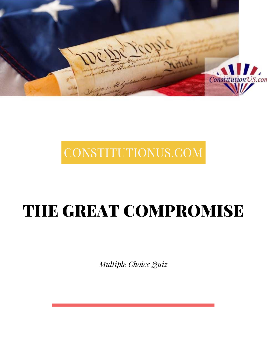

# CONSTITUTIONUS.COM

# THE GREAT COMPROMISE

*Multiple Choice Quiz*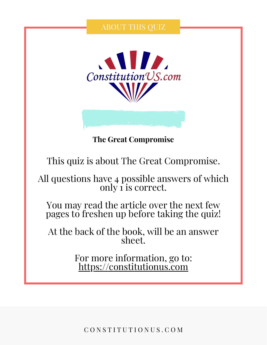### ABOUT THIS QUIZ



**The Great Compromise**

This quiz is about The Great Compromise.

All questions have 4 possible answers of which only 1 is correct.

You may read the article over the next few pages to freshen up before taking the quiz!

At the back of the book, will be an answer sheet.

> For more information, go to: [https://constitutionus.com](https://constitutionus.com/)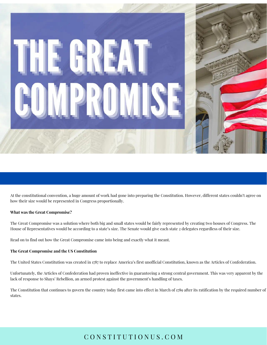At the constitutional convention, a huge amount of work had gone into preparing the Constitution. However, different states couldn't agree on how their size would be represented in Congress proportionally.

#### **What was the Great Compromise?**

The Great Compromise was a solution where both big and small states would be fairly represented by creating two houses of Congress. The House of Representatives would be according to a state's size. The Senate would give each state 2 delegates regardless of their size.

Read on to find out how the Great Compromise came into being and exactly what it meant.

#### **The Great Compromise and the US Constitution**

The United States Constitution was created in 1787 to replace America's first unofficial Constitution, known as the Articles of [Confederation](https://constitutionus.com/additional-documents/who-wrote-the-articles-of-confederation/).

Unfortunately, the Articles of Confederation had proven ineffective in guaranteeing a strong central government. This was very apparent by the lack of response to Shays' [Rebellion,](https://constitutionus.com/war/all-about-shays-rebellion/) an armed protest against the government's handling of taxes.

The [Constitution](https://constitutionus.com/constitution/when-was-the-constitution-ratified/) that continues to govern the country today first came into effect in March of 1789 after its ratification by the required number of states.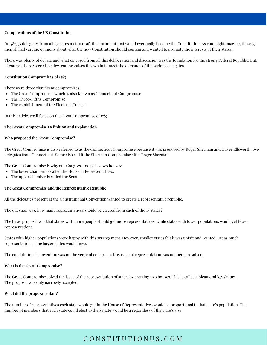#### **Complications of the US Constitution**

In 1787, 55 delegates from all 13 states met to draft the document that would eventually become the Constitution. As you might imagine, these 55 men all had varying opinions about what the new Constitution should contain and wanted to promote the interests of their states.

There was plenty of debate and what emerged from all this deliberation and discussion was the foundation for the strong Federal [Republic.](https://constitutionus.com/democracy/is-the-united-states-a-republic/) But, of course, there were also a few compromises thrown in to meet the demands of the various delegates.

#### **Constitution Compromises of 1787**

There were three significant compromises:

- The Great Compromise, which is also known as Connecticut Compromise
- The Three-Fifths [Compromise](https://constitutionus.com/constitution/what-is-the-3-5-compromise/)
- The establishment of the [Electoral](https://constitutionus.com/constitution/5-key-reasons-why-the-electoral-college-was-established/) College

In this article, we'll focus on the Great Compromise of 1787.

#### **The Great Compromise Definition and Explanation**

#### **Who proposed the Great Compromise?**

The Great Compromise is also referred to as the Connecticut Compromise because it was proposed by Roger Sherman and Oliver Ellsworth, two delegates from Connecticut. Some also call it the Sherman Compromise after Roger Sherman.

The Great Compromise is why our Congress today has two houses:

- The lower chamber is called the House of Representatives.
- The upper chamber is called the Senate.

#### **The Great Compromise and the Representative Republic**

All the delegates present at the Constitutional Convention wanted to create a [representative](https://constitutionus.com/democracy/what-is-a-republic/) republic.

The question was, how many representatives should be elected from each of the 13 states?

The basic proposal was that states with more people should get more representatives, while states with lower populations would get fewer representations.

States with higher populations were happy with this arrangement. However, smaller states felt it was unfair and wanted just as much representation as the larger states would have.

The constitutional convention was on the verge of collapse as this issue of representation was not being resolved.

#### **What is the Great Compromise?**

The Great Compromise solved the issue of the representation of states by creating two houses. This is called a bicameral legislature. The proposal was only narrowly accepted.

#### **What did the proposal entail?**

The number of representatives each state would get in the House of Representatives would be proportional to that state's population. The number of members that each state could elect to the Senate would be 2 regardless of the state's size.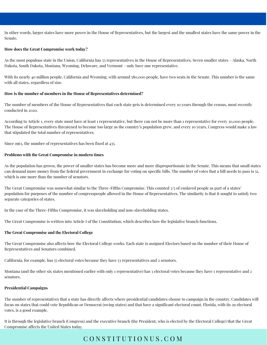In other words, larger states have more power in the House of Representatives, but the largest and the smallest states have the same power in the Senate.

#### **How does the Great Compromise work today?**

As the most populous state in the Union, California has 53 representatives in the House of Representatives. Seven smaller states – Alaska, North Dakota, South Dakota, Montana, Wyoming, Delaware, and Vermont – only have one representative.

With its nearly 40 million people. California and Wyoming, with around 580,000 people, have two seats in the Senate. This number is the same with all states, regardless of size.

#### **How is the number of members in the House of Representatives determined?**

The number of members of the House of Representatives that each state gets is determined every 10 years through the census, most recently conducted in 2020.

According to [Article](https://constitutionus.com/constitution/articles/article1/) 1, every state must have at least 1 representative, but there can not be more than 1 representative for every 30,000 people. The House of Representatives threatened to become too large as the country's population grew, and every 10 years, Congress would make a law that stipulated the total number of representatives.

Since 1963, the number of representatives has been fixed at 435.

#### **Problems with the Great Compromise in modern times**

As the population has grown, the power of smaller states has become more and more disproportionate in the Senate. This means that small states can demand more money from the federal government in exchange for voting on specific bills. The number of votes that a bill needs to pass is 51, which is one more than the number of senators.

The Great Compromise was somewhat similar to the Three-Fifths [Compromise](https://constitutionus.com/constitution/what-is-the-3-5-compromise/). This counted 3/5 of enslaved people as part of a states' population for purposes of the number of congresspeople allowed in the House of Representatives. The similarity is that it sought to satisfy two separate categories of states.

In the case of the Three-Fifths Compromise, it was slaveholding and non-slaveholding states.

The Great Compromise is written into [Article](https://constitutionus.com/constitution/articles/article1/) I of the Constitution, which describes how the [legislative](https://constitutionus.com/us-naturalization-test/war-fought-by-united-states-in-1900s/) branch functions.

#### **The Great Compromise and the Electoral College**

The Great Compromise also affects how the Electoral College works. Each state is assigned Electors based on the number of their House of Representatives and Senators combined.

California, for example, has 55 electoral votes because they have 53 representatives and 2 senators.

Montana (and the other six states mentioned earlier with only 1 representative) has 3 electoral votes because they have 1 representative and 2 senators.

#### **Presidential Campaigns**

The number of representatives that a state has directly affects where presidential candidates choose to campaign in the country. Candidates will focus on states that could vote Republican or Democrat [\(swing](https://constitutionus.com/democracy/what-are-swing-states/) states) and that have a significant electoral count. Florida, with its 29 electoral votes, is a good example.

It is through the legislative branch (Congress) and the [executive](https://constitutionus.com/us-naturalization-test/who-is-in-charge-of-executive-branch/) branch (the President, who is elected by the Electoral College) that the Great Compromise affects the United States today.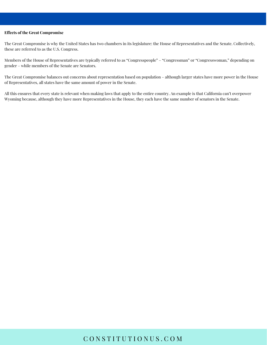#### **Effects of the Great Compromise**

The Great Compromise is why the United States has two chambers in its legislature: the House of Representatives and the Senate. Collectively, these are referred to as the U.S. Congress.

Members of the House of Representatives are typically referred to as "Congresspeople" – "Congressman" or "Congresswoman," depending on gender – while members of the Senate are Senators.

The Great Compromise balances out concerns about representation based on population – although larger states have more power in the House of Representatives, all states have the same amount of power in the Senate.

All this ensures that every state is relevant when making laws that apply to the entire country. An example is that California can't overpower Wyoming because, although they have more Representatives in the House, they each have the same number of senators in the Senate.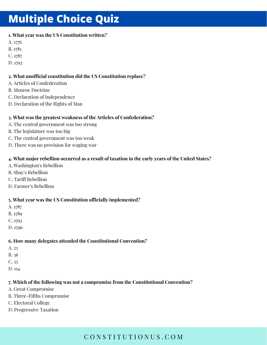## **Multiple Choice Quiz**

### **1. What year was the US Constitution written?**

- A. 1776
- B. 1781
- C. 1787
- D. 1792

### **2. What unofficial constitution did the US Constitution replace?**

- A. Articles of Confederation
- B. Monroe Doctrine
- C. Declaration of Independence
- D. Declaration of the Rights of Man

### **3. What was the greatest weakness of the Articles of Confederation?**

- A. The central government was too strong
- B. The legislature was too big
- C. The central government was too weak
- D. There was no provision for waging war

### **4. What major rebellion occurred as a result of taxation in the early years of the United States?**

- A. Washington's Rebellion
- B. Shay's Rebellion
- C. Tariff Rebellion
- D. Farmer's Rebellion

### **5. What year was the US Constitution officially implemented?**

- A. 1787
- B. 1789
- C. 1792
- D. 1796

### **6. How many delegates attended the Constitutional Convention?**

- A. 25
- B. 36
- C. 55
- D. 114

### **7. Which of the following was not a compromise from the Constitutional Convention?**

- A. Great Compromise
- B. Three-Fifths Compromise
- C. Electoral College
- D. Progressive Taxation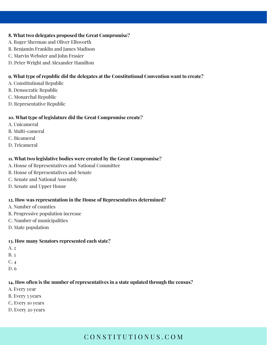#### **8. What two delegates proposed the Great Compromise?**

- A. Roger Sherman and Oliver Ellsworth
- B. Benjamin Franklin and James Madison
- C. Marvin Webster and John Frasier
- D. Peter Wright and Alexander Hamilton

### **9. What type of republic did the delegates at the Constitutional Convention want to create?**

- A. Constitutional Republic
- B. Democratic Republic
- C. Monarchal Republic
- D. Representative Republic

### **10. What type of legislature did the Great Compromise create?**

- A. Unicameral
- B. Multi-cameral
- C. Bicameral
- D. Tricameral

### **11. What two legislative bodies were created by the Great Compromise?**

- A. House of Representatives and National Committee
- B. House of Representatives and Senate
- C. Senate and National Assembly
- D. Senate and Upper House

### **12. How was representation in the House of Representatives determined?**

- A. Number of counties
- B. Progressive population increase
- C. Number of municipalities
- D. State population

### **13. How many Senators represented each state?**

- A. 2
- B. 3
- C. 4
- D. 6

### **14. How often is the number of representatives in a state updated through the census?**

- A. Every year
- B. Every 5 years
- C. Every 10 years
- D. Every 20 years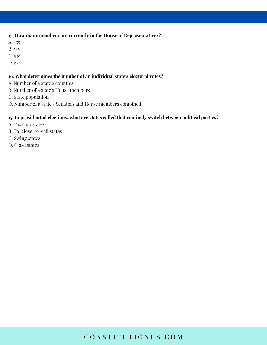### **15. How many members are currently in the House of Representatives?**

- A. 435
- B. 535
- C. 538
- D. 625

#### **16. What determines the number of an individual state's electoral votes?**

- A. Number of a state's counties
- B. Number of a state's House members
- C. State population
- D. Number of a state's Senators and House members combined

#### **17. In presidential elections, what are states called that routinely switch between political parties?**

- A. Toss-up states
- B. To-close-to-call states
- C. Swing states
- D. Close states